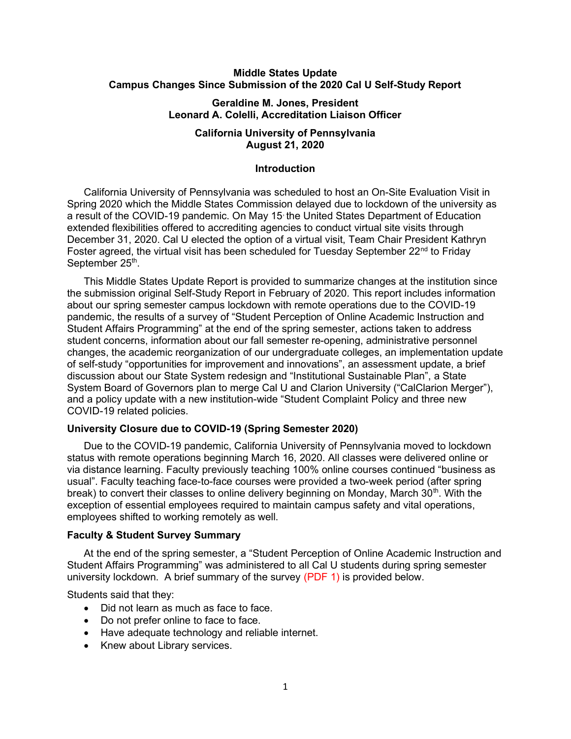# Middle States Update Campus Changes Since Submission of the 2020 Cal U Self-Study Report

# Geraldine M. Jones, President Leonard A. Colelli, Accreditation Liaison Officer

# California University of Pennsylvania August 21, 2020

## **Introduction**

California University of Pennsylvania was scheduled to host an On-Site Evaluation Visit in Spring 2020 which the Middle States Commission delayed due to lockdown of the university as a result of the COVID-19 pandemic. On May 15 the United States Department of Education extended flexibilities offered to accrediting agencies to conduct virtual site visits through December 31, 2020. Cal U elected the option of a virtual visit, Team Chair President Kathryn Foster agreed, the virtual visit has been scheduled for Tuesday September  $22^{nd}$  to Friday September 25<sup>th</sup>.

 This Middle States Update Report is provided to summarize changes at the institution since the submission original Self-Study Report in February of 2020. This report includes information about our spring semester campus lockdown with remote operations due to the COVID-19 pandemic, the results of a survey of "Student Perception of Online Academic Instruction and Student Affairs Programming" at the end of the spring semester, actions taken to address student concerns, information about our fall semester re-opening, administrative personnel changes, the academic reorganization of our undergraduate colleges, an implementation update of self-study "opportunities for improvement and innovations", an assessment update, a brief discussion about our State System redesign and "Institutional Sustainable Plan", a State System Board of Governors plan to merge Cal U and Clarion University ("CalClarion Merger"), and a policy update with a new institution-wide "Student Complaint Policy and three new COVID-19 related policies.

#### University Closure due to COVID-19 (Spring Semester 2020)

 Due to the COVID-19 pandemic, California University of Pennsylvania moved to lockdown status with remote operations beginning March 16, 2020. All classes were delivered online or via distance learning. Faculty previously teaching 100% online courses continued "business as usual". Faculty teaching face-to-face courses were provided a two-week period (after spring break) to convert their classes to online delivery beginning on Monday, March  $30<sup>th</sup>$ . With the exception of essential employees required to maintain campus safety and vital operations, employees shifted to working remotely as well.

### Faculty & Student Survey Summary

 At the end of the spring semester, a "Student Perception of Online Academic Instruction and Student Affairs Programming" was administered to all Cal U students during spring semester university lockdown. A brief summary of the survey (PDF 1) is provided below.

Students said that they:

- Did not learn as much as face to face.
- Do not prefer online to face to face.
- Have adequate technology and reliable internet.
- Knew about Library services.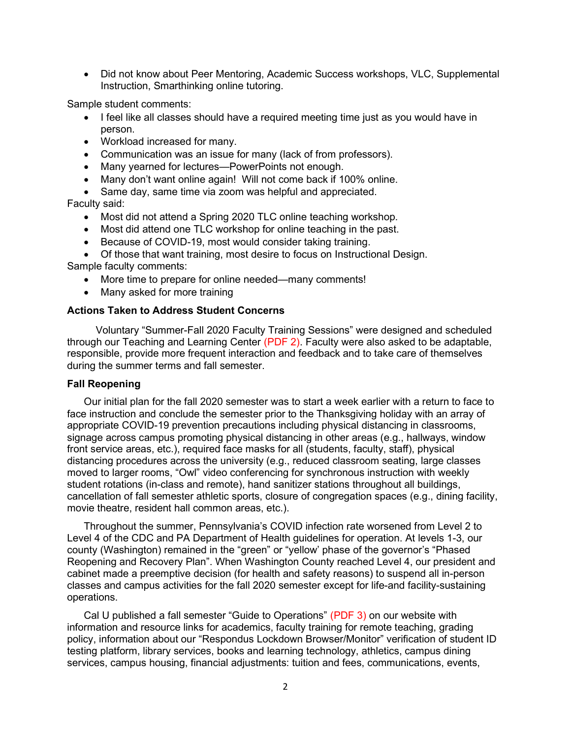• Did not know about Peer Mentoring, Academic Success workshops, VLC, Supplemental Instruction, Smarthinking online tutoring.

Sample student comments:

- I feel like all classes should have a required meeting time just as you would have in person.
- Workload increased for many.
- Communication was an issue for many (lack of from professors).
- Many yearned for lectures—PowerPoints not enough.
- Many don't want online again! Will not come back if 100% online.
- Same day, same time via zoom was helpful and appreciated.

Faculty said:

- Most did not attend a Spring 2020 TLC online teaching workshop.
- Most did attend one TLC workshop for online teaching in the past.
- Because of COVID-19, most would consider taking training.
- Of those that want training, most desire to focus on Instructional Design. Sample faculty comments:
	- More time to prepare for online needed—many comments!
	- Many asked for more training

# Actions Taken to Address Student Concerns

 Voluntary "Summer-Fall 2020 Faculty Training Sessions" were designed and scheduled through our Teaching and Learning Center (PDF 2). Faculty were also asked to be adaptable, responsible, provide more frequent interaction and feedback and to take care of themselves during the summer terms and fall semester.

## Fall Reopening

 Our initial plan for the fall 2020 semester was to start a week earlier with a return to face to face instruction and conclude the semester prior to the Thanksgiving holiday with an array of appropriate COVID-19 prevention precautions including physical distancing in classrooms, signage across campus promoting physical distancing in other areas (e.g., hallways, window front service areas, etc.), required face masks for all (students, faculty, staff), physical distancing procedures across the university (e.g., reduced classroom seating, large classes moved to larger rooms, "Owl" video conferencing for synchronous instruction with weekly student rotations (in-class and remote), hand sanitizer stations throughout all buildings, cancellation of fall semester athletic sports, closure of congregation spaces (e.g., dining facility, movie theatre, resident hall common areas, etc.).

 Throughout the summer, Pennsylvania's COVID infection rate worsened from Level 2 to Level 4 of the CDC and PA Department of Health guidelines for operation. At levels 1-3, our county (Washington) remained in the "green" or "yellow' phase of the governor's "Phased Reopening and Recovery Plan". When Washington County reached Level 4, our president and cabinet made a preemptive decision (for health and safety reasons) to suspend all in-person classes and campus activities for the fall 2020 semester except for life-and facility-sustaining operations.

 Cal U published a fall semester "Guide to Operations" (PDF 3) on our website with information and resource links for academics, faculty training for remote teaching, grading policy, information about our "Respondus Lockdown Browser/Monitor" verification of student ID testing platform, library services, books and learning technology, athletics, campus dining services, campus housing, financial adjustments: tuition and fees, communications, events,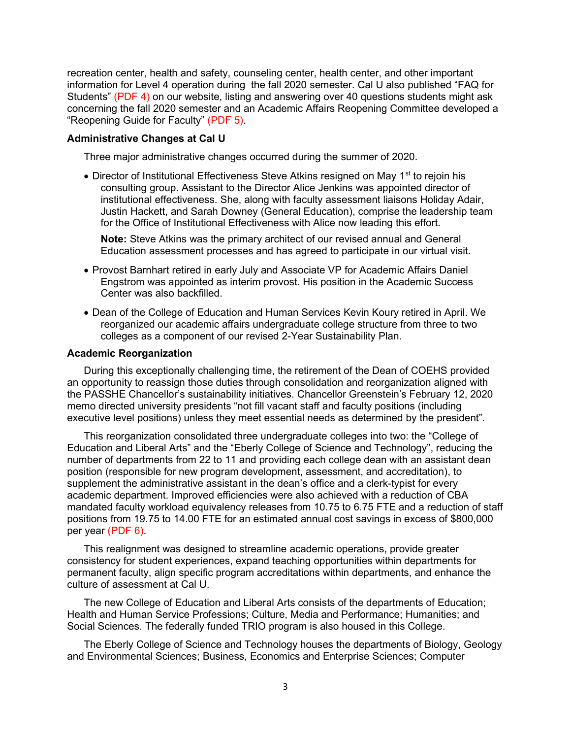recreation center, health and safety, counseling center, health center, and other important information for Level 4 operation during the fall 2020 semester. Cal U also published "FAQ for Students" (PDF 4) on our website, listing and answering over 40 questions students might ask concerning the fall 2020 semester and an Academic Affairs Reopening Committee developed a "Reopening Guide for Faculty" (PDF 5).

## Administrative Changes at Cal U

Three major administrative changes occurred during the summer of 2020.

 $\bullet$  Director of Institutional Effectiveness Steve Atkins resigned on May 1<sup>st</sup> to rejoin his consulting group. Assistant to the Director Alice Jenkins was appointed director of institutional effectiveness. She, along with faculty assessment liaisons Holiday Adair, Justin Hackett, and Sarah Downey (General Education), comprise the leadership team for the Office of Institutional Effectiveness with Alice now leading this effort.

Note: Steve Atkins was the primary architect of our revised annual and General Education assessment processes and has agreed to participate in our virtual visit.

- Provost Barnhart retired in early July and Associate VP for Academic Affairs Daniel Engstrom was appointed as interim provost. His position in the Academic Success Center was also backfilled.
- Dean of the College of Education and Human Services Kevin Koury retired in April. We reorganized our academic affairs undergraduate college structure from three to two colleges as a component of our revised 2-Year Sustainability Plan.

#### Academic Reorganization

During this exceptionally challenging time, the retirement of the Dean of COEHS provided an opportunity to reassign those duties through consolidation and reorganization aligned with the PASSHE Chancellor's sustainability initiatives. Chancellor Greenstein's February 12, 2020 memo directed university presidents "not fill vacant staff and faculty positions (including executive level positions) unless they meet essential needs as determined by the president".

This reorganization consolidated three undergraduate colleges into two: the "College of Education and Liberal Arts" and the "Eberly College of Science and Technology", reducing the number of departments from 22 to 11 and providing each college dean with an assistant dean position (responsible for new program development, assessment, and accreditation), to supplement the administrative assistant in the dean's office and a clerk-typist for every academic department. Improved efficiencies were also achieved with a reduction of CBA mandated faculty workload equivalency releases from 10.75 to 6.75 FTE and a reduction of staff positions from 19.75 to 14.00 FTE for an estimated annual cost savings in excess of \$800,000 per year (PDF 6).

This realignment was designed to streamline academic operations, provide greater consistency for student experiences, expand teaching opportunities within departments for permanent faculty, align specific program accreditations within departments, and enhance the culture of assessment at Cal U.

The new College of Education and Liberal Arts consists of the departments of Education; Health and Human Service Professions; Culture, Media and Performance; Humanities; and Social Sciences. The federally funded TRIO program is also housed in this College.

 The Eberly College of Science and Technology houses the departments of Biology, Geology and Environmental Sciences; Business, Economics and Enterprise Sciences; Computer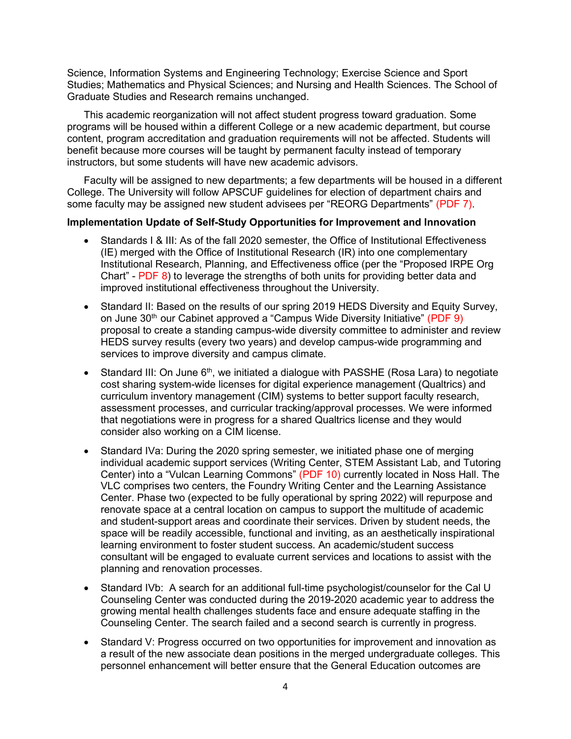Science, Information Systems and Engineering Technology; Exercise Science and Sport Studies; Mathematics and Physical Sciences; and Nursing and Health Sciences. The School of Graduate Studies and Research remains unchanged.

 This academic reorganization will not affect student progress toward graduation. Some programs will be housed within a different College or a new academic department, but course content, program accreditation and graduation requirements will not be affected. Students will benefit because more courses will be taught by permanent faculty instead of temporary instructors, but some students will have new academic advisors.

 Faculty will be assigned to new departments; a few departments will be housed in a different College. The University will follow APSCUF guidelines for election of department chairs and some faculty may be assigned new student advisees per "REORG Departments" (PDF 7).

## Implementation Update of Self-Study Opportunities for Improvement and Innovation

- Standards I & III: As of the fall 2020 semester, the Office of Institutional Effectiveness (IE) merged with the Office of Institutional Research (IR) into one complementary Institutional Research, Planning, and Effectiveness office (per the "Proposed IRPE Org Chart" - PDF 8) to leverage the strengths of both units for providing better data and improved institutional effectiveness throughout the University.
- Standard II: Based on the results of our spring 2019 HEDS Diversity and Equity Survey, on June 30<sup>th</sup> our Cabinet approved a "Campus Wide Diversity Initiative" (PDF 9) proposal to create a standing campus-wide diversity committee to administer and review HEDS survey results (every two years) and develop campus-wide programming and services to improve diversity and campus climate.
- Standard III: On June  $6<sup>th</sup>$ , we initiated a dialogue with PASSHE (Rosa Lara) to negotiate cost sharing system-wide licenses for digital experience management (Qualtrics) and curriculum inventory management (CIM) systems to better support faculty research, assessment processes, and curricular tracking/approval processes. We were informed that negotiations were in progress for a shared Qualtrics license and they would consider also working on a CIM license.
- Standard IVa: During the 2020 spring semester, we initiated phase one of merging individual academic support services (Writing Center, STEM Assistant Lab, and Tutoring Center) into a "Vulcan Learning Commons" (PDF 10) currently located in Noss Hall. The VLC comprises two centers, the Foundry Writing Center and the Learning Assistance Center. Phase two (expected to be fully operational by spring 2022) will repurpose and renovate space at a central location on campus to support the multitude of academic and student-support areas and coordinate their services. Driven by student needs, the space will be readily accessible, functional and inviting, as an aesthetically inspirational learning environment to foster student success. An academic/student success consultant will be engaged to evaluate current services and locations to assist with the planning and renovation processes.
- Standard IVb: A search for an additional full-time psychologist/counselor for the Cal U Counseling Center was conducted during the 2019-2020 academic year to address the growing mental health challenges students face and ensure adequate staffing in the Counseling Center. The search failed and a second search is currently in progress.
- Standard V: Progress occurred on two opportunities for improvement and innovation as a result of the new associate dean positions in the merged undergraduate colleges. This personnel enhancement will better ensure that the General Education outcomes are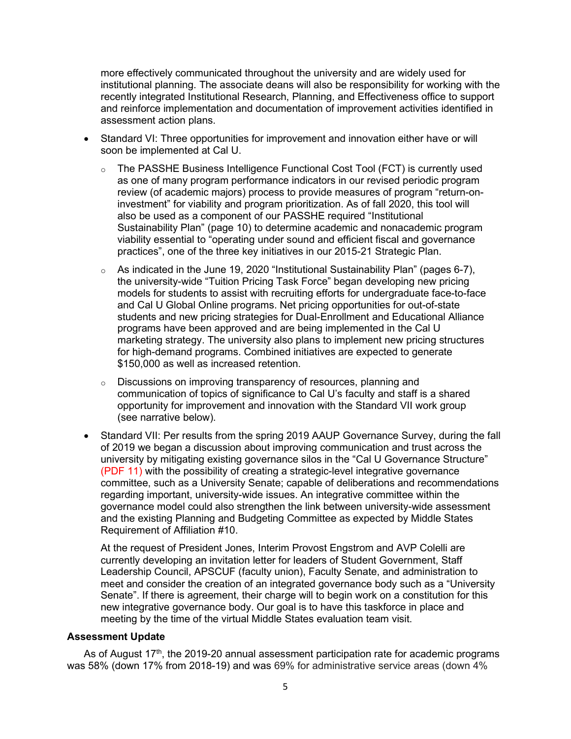more effectively communicated throughout the university and are widely used for institutional planning. The associate deans will also be responsibility for working with the recently integrated Institutional Research, Planning, and Effectiveness office to support and reinforce implementation and documentation of improvement activities identified in assessment action plans.

- Standard VI: Three opportunities for improvement and innovation either have or will soon be implemented at Cal U.
	- o The PASSHE Business Intelligence Functional Cost Tool (FCT) is currently used as one of many program performance indicators in our revised periodic program review (of academic majors) process to provide measures of program "return-oninvestment" for viability and program prioritization. As of fall 2020, this tool will also be used as a component of our PASSHE required "Institutional Sustainability Plan" (page 10) to determine academic and nonacademic program viability essential to "operating under sound and efficient fiscal and governance practices", one of the three key initiatives in our 2015-21 Strategic Plan.
	- $\circ$  As indicated in the June 19, 2020 "Institutional Sustainability Plan" (pages 6-7), the university-wide "Tuition Pricing Task Force" began developing new pricing models for students to assist with recruiting efforts for undergraduate face-to-face and Cal U Global Online programs. Net pricing opportunities for out-of-state students and new pricing strategies for Dual-Enrollment and Educational Alliance programs have been approved and are being implemented in the Cal U marketing strategy. The university also plans to implement new pricing structures for high-demand programs. Combined initiatives are expected to generate \$150,000 as well as increased retention.
	- o Discussions on improving transparency of resources, planning and communication of topics of significance to Cal U's faculty and staff is a shared opportunity for improvement and innovation with the Standard VII work group (see narrative below).
- Standard VII: Per results from the spring 2019 AAUP Governance Survey, during the fall of 2019 we began a discussion about improving communication and trust across the university by mitigating existing governance silos in the "Cal U Governance Structure" (PDF 11) with the possibility of creating a strategic-level integrative governance committee, such as a University Senate; capable of deliberations and recommendations regarding important, university-wide issues. An integrative committee within the governance model could also strengthen the link between university-wide assessment and the existing Planning and Budgeting Committee as expected by Middle States Requirement of Affiliation #10.

At the request of President Jones, Interim Provost Engstrom and AVP Colelli are currently developing an invitation letter for leaders of Student Government, Staff Leadership Council, APSCUF (faculty union), Faculty Senate, and administration to meet and consider the creation of an integrated governance body such as a "University Senate". If there is agreement, their charge will to begin work on a constitution for this new integrative governance body. Our goal is to have this taskforce in place and meeting by the time of the virtual Middle States evaluation team visit.

### Assessment Update

As of August  $17<sup>th</sup>$ , the 2019-20 annual assessment participation rate for academic programs was 58% (down 17% from 2018-19) and was 69% for administrative service areas (down 4%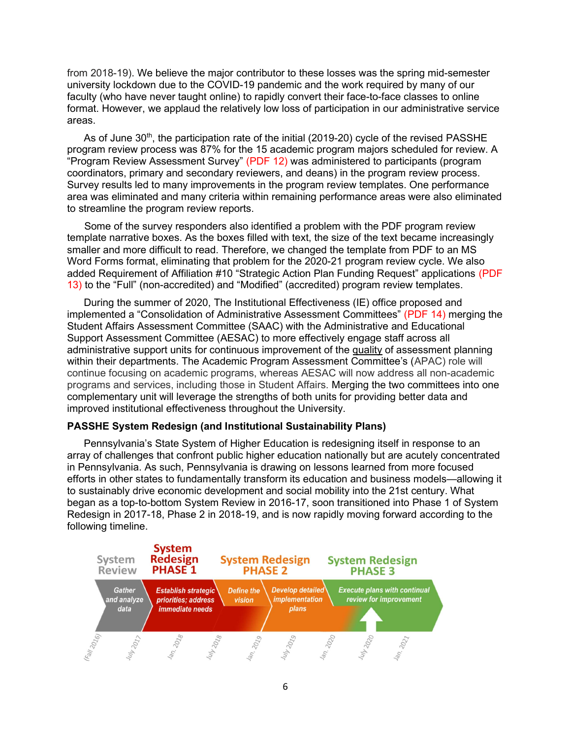from 2018-19). We believe the major contributor to these losses was the spring mid-semester university lockdown due to the COVID-19 pandemic and the work required by many of our faculty (who have never taught online) to rapidly convert their face-to-face classes to online format. However, we applaud the relatively low loss of participation in our administrative service areas.

As of June 30<sup>th</sup>, the participation rate of the initial (2019-20) cycle of the revised PASSHE program review process was 87% for the 15 academic program majors scheduled for review. A "Program Review Assessment Survey" (PDF 12) was administered to participants (program coordinators, primary and secondary reviewers, and deans) in the program review process. Survey results led to many improvements in the program review templates. One performance area was eliminated and many criteria within remaining performance areas were also eliminated to streamline the program review reports.

 Some of the survey responders also identified a problem with the PDF program review template narrative boxes. As the boxes filled with text, the size of the text became increasingly smaller and more difficult to read. Therefore, we changed the template from PDF to an MS Word Forms format, eliminating that problem for the 2020-21 program review cycle. We also added Requirement of Affiliation #10 "Strategic Action Plan Funding Request" applications (PDF 13) to the "Full" (non-accredited) and "Modified" (accredited) program review templates.

 During the summer of 2020, The Institutional Effectiveness (IE) office proposed and implemented a "Consolidation of Administrative Assessment Committees" (PDF 14) merging the Student Affairs Assessment Committee (SAAC) with the Administrative and Educational Support Assessment Committee (AESAC) to more effectively engage staff across all administrative support units for continuous improvement of the quality of assessment planning within their departments. The Academic Program Assessment Committee's (APAC) role will continue focusing on academic programs, whereas AESAC will now address all non-academic programs and services, including those in Student Affairs. Merging the two committees into one complementary unit will leverage the strengths of both units for providing better data and improved institutional effectiveness throughout the University.

#### PASSHE System Redesign (and Institutional Sustainability Plans)

 Pennsylvania's State System of Higher Education is redesigning itself in response to an array of challenges that confront public higher education nationally but are acutely concentrated in Pennsylvania. As such, Pennsylvania is drawing on lessons learned from more focused efforts in other states to fundamentally transform its education and business models—allowing it to sustainably drive economic development and social mobility into the 21st century. What began as a top-to-bottom System Review in 2016-17, soon transitioned into Phase 1 of System Redesign in 2017-18, Phase 2 in 2018-19, and is now rapidly moving forward according to the following timeline.

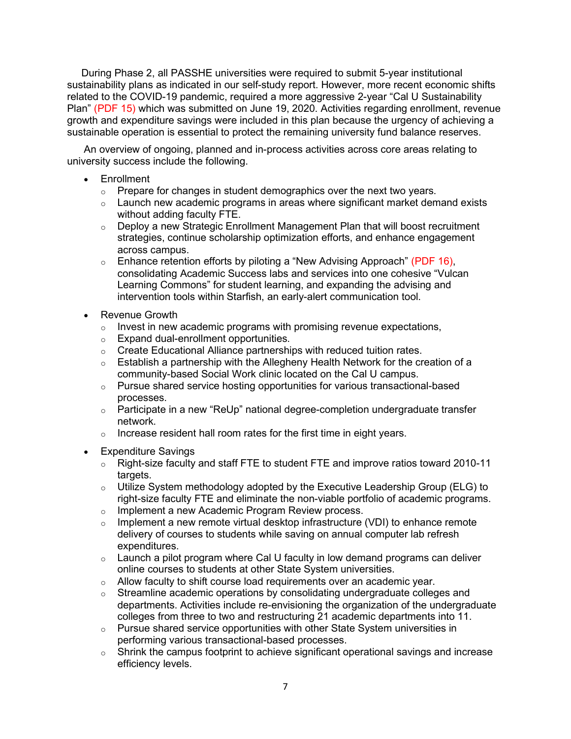During Phase 2, all PASSHE universities were required to submit 5-year institutional sustainability plans as indicated in our self-study report. However, more recent economic shifts related to the COVID-19 pandemic, required a more aggressive 2-year "Cal U Sustainability Plan" (PDF 15) which was submitted on June 19, 2020. Activities regarding enrollment, revenue growth and expenditure savings were included in this plan because the urgency of achieving a sustainable operation is essential to protect the remaining university fund balance reserves.

 An overview of ongoing, planned and in-process activities across core areas relating to university success include the following.

- Enrollment
	- o Prepare for changes in student demographics over the next two years.
	- $\circ$  Launch new academic programs in areas where significant market demand exists without adding faculty FTE.
	- o Deploy a new Strategic Enrollment Management Plan that will boost recruitment strategies, continue scholarship optimization efforts, and enhance engagement across campus.
	- $\circ$  Enhance retention efforts by piloting a "New Advising Approach" (PDF 16), consolidating Academic Success labs and services into one cohesive "Vulcan Learning Commons" for student learning, and expanding the advising and intervention tools within Starfish, an early-alert communication tool.
- Revenue Growth
	- $\circ$  Invest in new academic programs with promising revenue expectations,
	- o Expand dual-enrollment opportunities.
	- $\circ$  Create Educational Alliance partnerships with reduced tuition rates.
	- $\circ$  Establish a partnership with the Allegheny Health Network for the creation of a community-based Social Work clinic located on the Cal U campus.
	- $\circ$  Pursue shared service hosting opportunities for various transactional-based processes.
	- $\circ$  Participate in a new "ReUp" national degree-completion undergraduate transfer network.
	- $\circ$  Increase resident hall room rates for the first time in eight years.
- Expenditure Savings
	- o Right-size faculty and staff FTE to student FTE and improve ratios toward 2010-11 targets.
	- o Utilize System methodology adopted by the Executive Leadership Group (ELG) to right-size faculty FTE and eliminate the non-viable portfolio of academic programs.
	- o Implement a new Academic Program Review process.
	- o Implement a new remote virtual desktop infrastructure (VDI) to enhance remote delivery of courses to students while saving on annual computer lab refresh expenditures.
	- $\circ$  Launch a pilot program where Cal U faculty in low demand programs can deliver online courses to students at other State System universities.
	- o Allow faculty to shift course load requirements over an academic year.
	- $\circ$  Streamline academic operations by consolidating undergraduate colleges and departments. Activities include re-envisioning the organization of the undergraduate colleges from three to two and restructuring 21 academic departments into 11.
	- o Pursue shared service opportunities with other State System universities in performing various transactional-based processes.
	- o Shrink the campus footprint to achieve significant operational savings and increase efficiency levels.